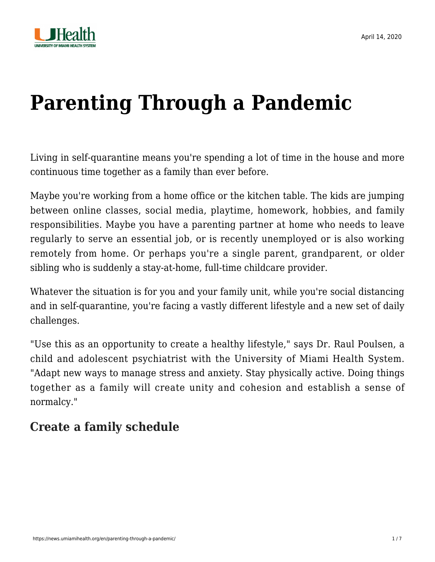

# **[Parenting Through a Pandemic](https://news.umiamihealth.org/en/parenting-through-a-pandemic/)**

Living in self-quarantine means you're spending a lot of time in the house and more continuous time together as a family than ever before.

Maybe you're working from a home office or the kitchen table. The kids are jumping between online classes, social media, playtime, homework, hobbies, and family responsibilities. Maybe you have a parenting partner at home who needs to leave regularly to serve an essential job, or is recently unemployed or is also working remotely from home. Or perhaps you're a single parent, grandparent, or older sibling who is suddenly a stay-at-home, full-time childcare provider.

Whatever the situation is for you and your family unit, while you're social distancing and in self-quarantine, you're facing a vastly different lifestyle and a new set of daily challenges.

"Use this as an opportunity to create a healthy lifestyle," says [Dr. Raul Poulsen,](https://doctors.umiamihealth.org/provider/Raul+Poulsen/749472?_ga=2.103758601.881045719.1586135566-1940541531.1506175809) a child and adolescent psychiatrist with the University of Miami Health System. "Adapt new ways to manage stress and anxiety. Stay physically active. Doing things together as a family will create unity and cohesion and establish a sense of normalcy."

## **Create a family schedule**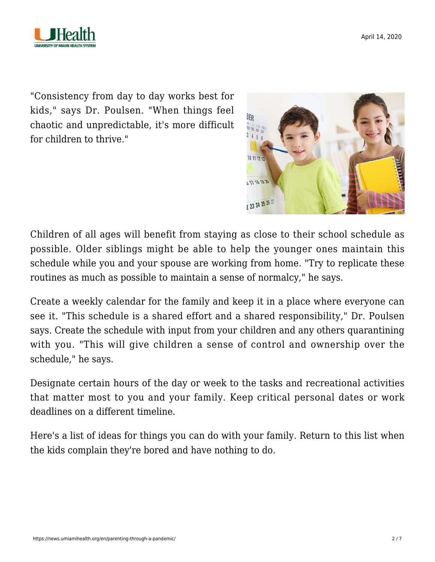

"Consistency from day to day works best for kids," says Dr. Poulsen. "When things feel chaotic and unpredictable, it's more difficult for children to thrive."



Children of all ages will benefit from staying as close to their school schedule as possible. Older siblings might be able to help the younger ones maintain this schedule while you and your spouse are working from home. "Try to replicate these routines as much as possible to maintain a sense of normalcy," he says.

Create a weekly calendar for the family and keep it in a place where everyone can see it. "This schedule is a shared effort and a shared responsibility," Dr. Poulsen says. Create the schedule with input from your children and any others quarantining with you. "This will give children a sense of control and ownership over the schedule," he says.

Designate certain hours of the day or week to the tasks and recreational activities that matter most to you and your family. Keep critical personal dates or work deadlines on a different timeline.

[Here's a list of ideas for things you can do with your family. R](https://news.umiamihealth.org/en/quarantine-life-schedule/)eturn to this list when the kids complain they're bored and have nothing to do.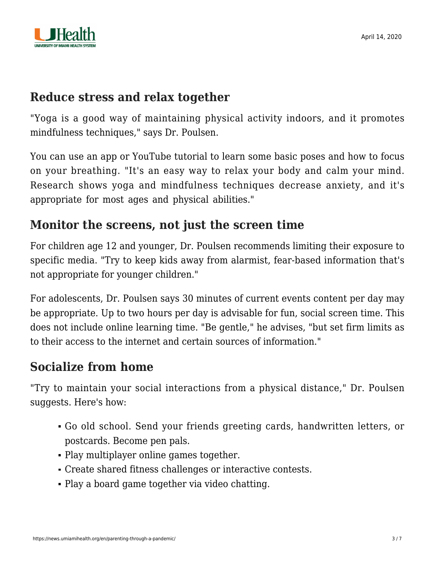

#### **Reduce stress and relax together**

"Yoga is a good way of maintaining physical activity indoors, and it promotes mindfulness techniques," says Dr. Poulsen.

You can use an app or YouTube tutorial to learn some basic poses and how to focus on your breathing. "It's an easy way to relax your body and calm your mind. Research shows yoga and mindfulness techniques decrease anxiety, and it's appropriate for most ages and physical abilities."

### **Monitor the screens, not just the screen time**

For children age 12 and younger, Dr. Poulsen recommends limiting their exposure to specific media. "Try to keep kids away from alarmist, fear-based information that's not appropriate for younger children."

For adolescents, Dr. Poulsen says 30 minutes of current events content per day may be appropriate. Up to two hours per day is advisable for fun, social screen time. This does not include online learning time. "Be gentle," he advises, "but set firm limits as to their access to the internet and certain sources of information."

#### **Socialize from home**

"Try to maintain your social interactions from a physical distance," Dr. Poulsen suggests. Here's how:

- Go old school. Send your friends greeting cards, handwritten letters, or postcards. Become pen pals.
- Play multiplayer online games together.
- Create shared fitness challenges or interactive contests.
- Play a board game together via video chatting.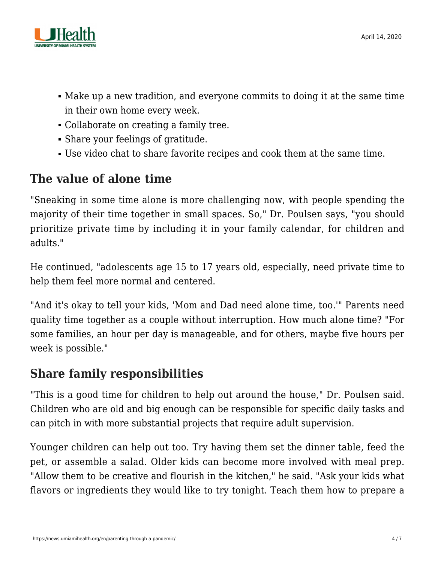

- Make up a new tradition, and everyone commits to doing it at the same time in their own home every week.
- Collaborate on creating a family tree.
- Share your feelings of gratitude.
- Use video chat to share favorite recipes and cook them at the same time.

## **The value of alone time**

"Sneaking in some time alone is more challenging now, with people spending the majority of their time together in small spaces. So," Dr. Poulsen says, "you should prioritize private time by including it in your family calendar, for children and adults."

He continued, "adolescents age 15 to 17 years old, especially, need private time to help them feel more normal and centered.

"And it's okay to tell your kids, 'Mom and Dad need alone time, too.'" Parents need quality time together as a couple without interruption. How much alone time? "For some families, an hour per day is manageable, and for others, maybe five hours per week is possible."

#### **Share family responsibilities**

"This is a good time for children to help out around the house," Dr. Poulsen said. Children who are old and big enough can be responsible for specific daily tasks and can pitch in with more substantial projects that require adult supervision.

Younger children can help out too. Try having them set the dinner table, feed the pet, or assemble a salad. Older kids can become more involved with meal prep. "Allow them to be creative and flourish in the kitchen," he said. "Ask your kids what flavors or ingredients they would like to try tonight. Teach them how to prepare a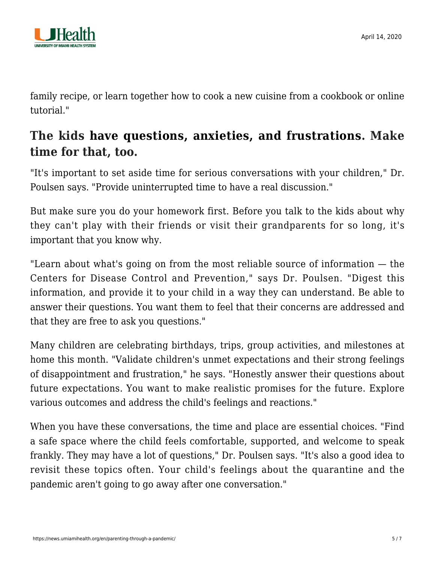

family recipe, or learn together how to cook a new cuisine from a cookbook or online tutorial."

### **The kids [have questions, anxieties, and frustrations](https://news.umiamihealth.org/en/talking-to-your-kids-about-covid-19/). Make time for that, too.**

"It's important to set aside time for serious conversations with your children," Dr. Poulsen says. "Provide uninterrupted time to have a real discussion."

But make sure you do your homework first. Before you talk to the kids about why they can't play with their friends or visit their grandparents for so long, it's important that you know why.

"Learn about what's going on from the most reliable source of information — the Centers for Disease Control and Prevention," says Dr. Poulsen. "Digest this information, and provide it to your child in a way they can understand. Be able to answer their questions. You want them to feel that their concerns are addressed and that they are free to ask you questions."

Many children are celebrating birthdays, trips, group activities, and milestones at home this month. "Validate children's unmet expectations and their strong feelings of disappointment and frustration," he says. "Honestly answer their questions about future expectations. You want to make realistic promises for the future. Explore various outcomes and address the child's feelings and reactions."

When you have these conversations, the time and place are essential choices. "Find a safe space where the child feels comfortable, supported, and welcome to speak frankly. They may have a lot of questions," Dr. Poulsen says. "It's also a good idea to revisit these topics often. Your child's feelings about the quarantine and the pandemic aren't going to go away after one conversation."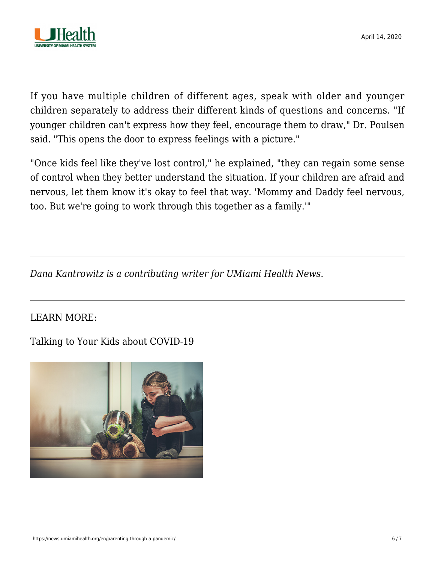

If you have multiple children of different ages, speak with older and younger children separately to address their different kinds of questions and concerns. "If younger children can't express how they feel, encourage them to draw," Dr. Poulsen said. "This opens the door to express feelings with a picture."

"Once kids feel like they've lost control," he explained, "they can regain some sense of control when they better understand the situation. If your children are afraid and nervous, let them know it's okay to feel that way. 'Mommy and Daddy feel nervous, too. But we're going to work through this together as a family.'"

*Dana Kantrowitz is a contributing writer for UMiami Health News.*

LEARN MORE:

[Talking to Your Kids about COVID-19](https://news.umiamihealth.org/en/talking-to-your-kids-about-covid-19/)